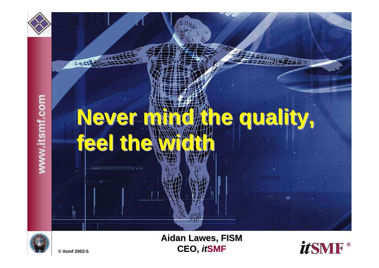



 **Stability in a changing world 2002-5CEO,** *it***SMF Aidan Lawes, FISM Aidan Lawes, FISM**

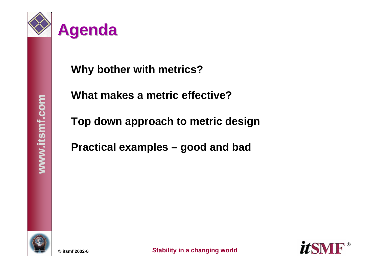

**Why bother with metrics?**

**What makes a metric effective?**

**Top down approach to metric design**

**Practical examples – good and bad**



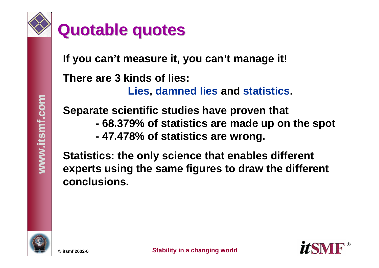

## **Quotable quotes Quotable quotes**

**If you can't measure it, you can't manage it!** 

**There are 3 kinds of lies:** 

**Lies, damned lies and statistics.**

**Separate scientific studies have proven that** 

- **- 68.379% of statistics are made up on the spot**
- **- 47.478% of statistics are wrong.**

**Statistics: the only science that enables different experts using the same figures to draw the different conclusions.**



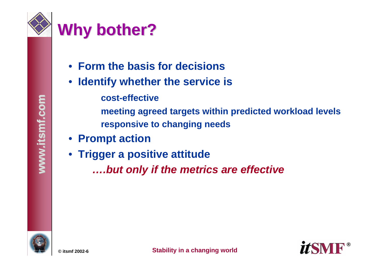

# **Why bother? Why bother?**

- **Form the basis for decisions**
- $\bullet$ **Identify whether the service is**

**cost-effective**

**meeting agreed targets within predicted workload levels responsive to changing needs**

- **Prompt action**
- **Trigger a positive attitude**
	- *….but only if the metrics are effective*



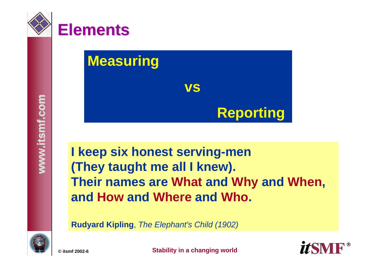

# **Measuring**

**I keep six honest serving-men (They taught me all I knew). Their names are What and Why and When, and How and Where and Who.**

**vs**

**Reporting**

**Rudyard Kipling**, *The Elephant's Child (1902)*



**www.itsmf.com www.itsmf.com**

www.itsmf.com

**© itsmf 2002-6**

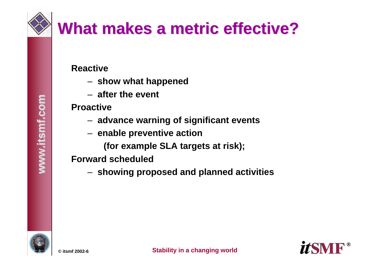# **What makes a metric effective? What makes a metric effective?**

**Reactive**

- **show what happened**
- **after the event**

#### **Proactive**

- **advance warning of significant events**
- **enable preventive action**
	- **(for example SLA targets at risk);**

**Forward scheduled** 

**showing proposed and planned activities**



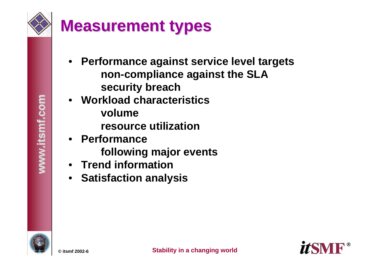

ww.itsmf.

**Com** 

# **Measurement types Measurement types**

- **Performance against service level targets non-compliance against the SLA security breach**
- • **Workload characteristicsvolumeresource utilization**
- **Performancefollowing major events**
- **Trend information**
- **Satisfaction analysis**





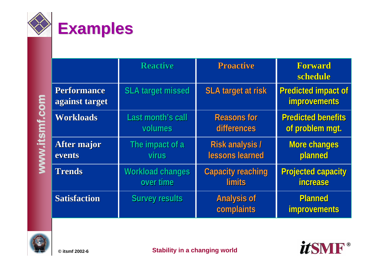

|                                      | <b>Reactive</b>          | <b>Proactive</b>                 | Forward<br>schedule                               |
|--------------------------------------|--------------------------|----------------------------------|---------------------------------------------------|
| <b>Performance</b><br>against target | <b>SLA target missed</b> | <b>SLA target at risk</b>        | <b>Predicted impact of</b><br><b>improvements</b> |
| <b>Workloads</b>                     | Last month's call        | <b>Reasons for</b>               | <b>Predicted benefits</b>                         |
|                                      | volumes                  | differences                      | of problem mgt.                                   |
| <b>After major</b>                   | The impact of a          | <b>Risk analysis /</b>           | <b>More changes</b>                               |
| events                               | <b>virus</b>             | lessons learned                  | planned                                           |
| <b>Trends</b>                        | <b>Workload changes</b>  | <b>Capacity reaching</b>         | <b>Projected capacity</b>                         |
|                                      | over time                | <b>limits</b>                    | <b>increase</b>                                   |
| <b>Satisfaction</b>                  | <b>Survey results</b>    | <b>Analysis of</b><br>complaints | <b>Planned</b><br><b>improvements</b>             |



www.itsmf.com

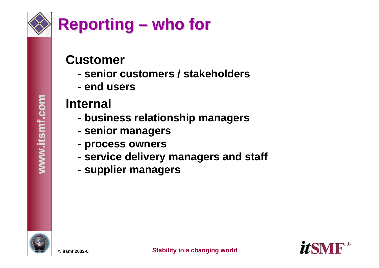## **Customer**

- **- senior customers / stakeholders**
- **- end users**

## **Internal**

- **business relationship managers**
- **senior managers**
- **- process owners**
- **service delivery managers and staff**
- **supplier managers**





**www.itsmf.com www.itsmf.com**

ww.itsmf.

**COM** 

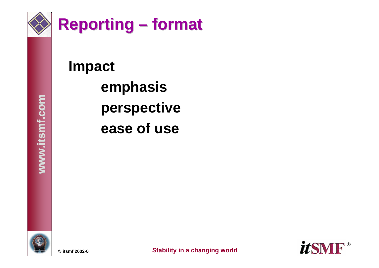

www.itsmf.com



## **Impact**

**emphasis perspective ease of use**



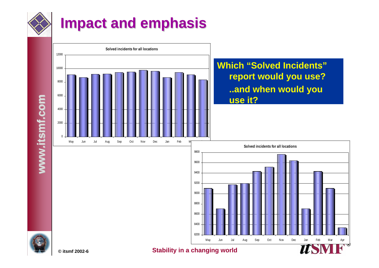

## **Impact and emphasis Impact and emphasis**

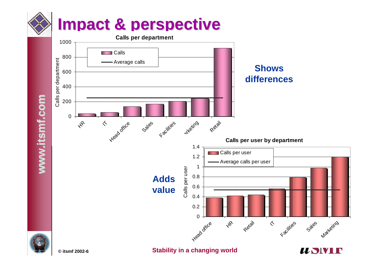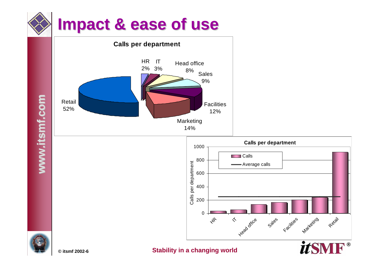# **Impact & ease of use Impact & ease of use**







**www.itsmf.com www.itsmf.com**

www.itsmf.com



**© itsmf 2002-6**

**Stability in a changing world**

**®**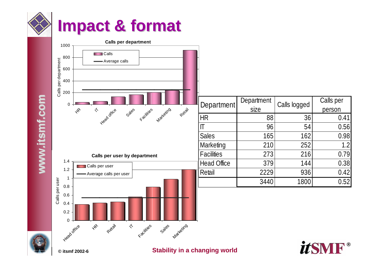





www.itsmf.com

**© itsmf 2002-6**

 $x^2$ 

Retail

 $\preceq$ 

Facilities

Sales

Matketing

0

Head office

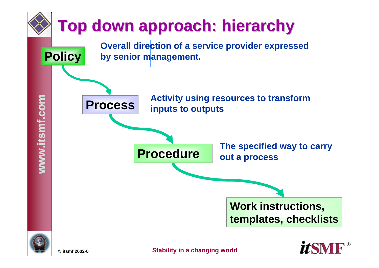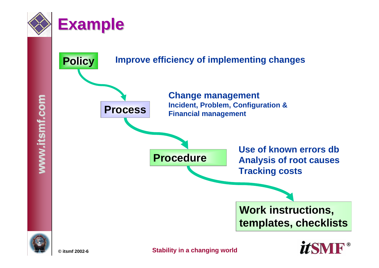

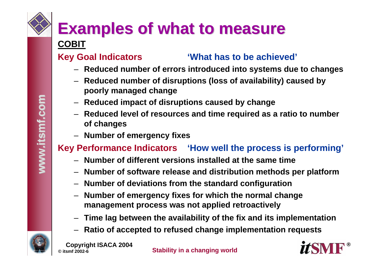# **Examples of what to measure Examples of what to measure**

#### **COBIT**

#### **Key Goal Indicators 'What has to be achieved'**

- **Reduced number of errors introduced into systems due to changes**
- **Reduced number of disruptions (loss of availability) caused by poorly managed change**
- **Reduced impact of disruptions caused by change**
- **Reduced level of resources and time required as a ratio to number of changes**
- **Number of emergency fixes**

#### **Key Performance Indicators 'How well the process is performing'**

- **Number of different versions installed at the same time**
- **Number of software release and distribution methods per platform**
- **Number of deviations from the standard configuration**
- **Number of emergency fixes for which the normal change management process was not applied retroactively**
- **Time lag between the availability of the fix and its implementation**
- **Ratio of accepted to refused change implementation requests**



**© itsmf 2002-6Copyright ISACA 2004**

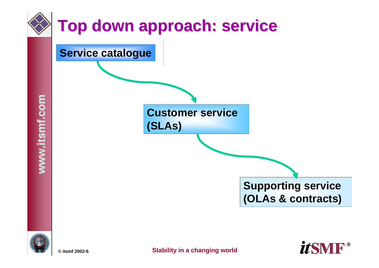

**© itsmf 2002-6**

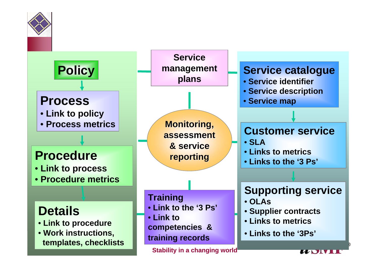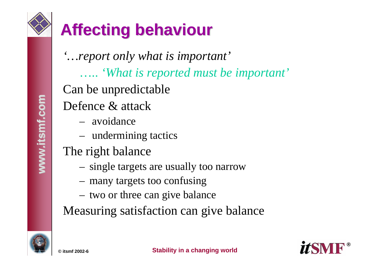

*'…report only what is important'* ….. *'What is reported must be important'* Can be unpredictable Defence & attack – avoidanceundermining tactics

The right balance

- single targets are usually too narrow
- many targets too confusing
- two or three can give balance

Measuring satisfaction can give balance